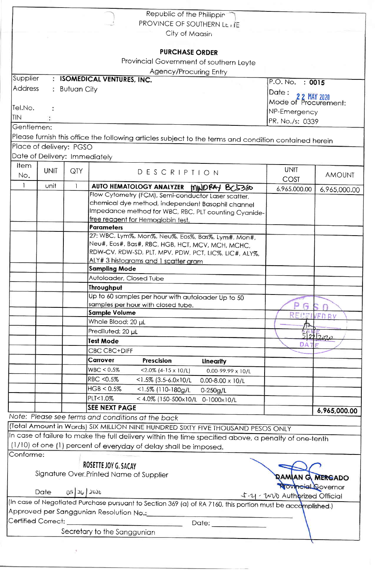| Republic of the Philippin<br>PROVINCE OF SOUTHERN LE ITE<br>City of Maasin<br><b>PURCHASE ORDER</b><br>Provincial Government of southern Leyte<br>Agency/Procuring Entry<br>Supplier<br><b>ISOMEDICAL VENTURES, INC.</b><br>$\cdot$<br>P.O. No. : 0015<br><b>Address</b><br><b>Butuan City</b><br>÷.<br>Date:<br>Dale : 22 MAY 2020<br>Mode of Procurement:<br>Tel.No.<br>NP-Emergency<br><b>TIN</b><br>PR. No./s: 0339<br>Gentlemen:<br>Please furnish this office the following articles subject to the terms and condition contained herein<br>Place of delivery: PGSO<br>Date of Delivery: Immediately<br>Item<br><b>UNIT</b><br><b>UNIT</b><br>QTY<br>DESCRIPTION<br><b>AMOUNT</b><br>No.<br>COST<br>$\mathbf{1}$<br>unit<br>$\mathbf{1}$<br>AUTO HEMATOLOGY ANALYZER MINDRAY BC5380<br>6,965,000.00<br>6,965,000.00<br>Flow Cytometry (FCM), Semi-conductor Laser scatter,<br>chemical dye method, independent Basophil channel |  |
|---------------------------------------------------------------------------------------------------------------------------------------------------------------------------------------------------------------------------------------------------------------------------------------------------------------------------------------------------------------------------------------------------------------------------------------------------------------------------------------------------------------------------------------------------------------------------------------------------------------------------------------------------------------------------------------------------------------------------------------------------------------------------------------------------------------------------------------------------------------------------------------------------------------------------------------|--|
|                                                                                                                                                                                                                                                                                                                                                                                                                                                                                                                                                                                                                                                                                                                                                                                                                                                                                                                                       |  |
|                                                                                                                                                                                                                                                                                                                                                                                                                                                                                                                                                                                                                                                                                                                                                                                                                                                                                                                                       |  |
|                                                                                                                                                                                                                                                                                                                                                                                                                                                                                                                                                                                                                                                                                                                                                                                                                                                                                                                                       |  |
|                                                                                                                                                                                                                                                                                                                                                                                                                                                                                                                                                                                                                                                                                                                                                                                                                                                                                                                                       |  |
|                                                                                                                                                                                                                                                                                                                                                                                                                                                                                                                                                                                                                                                                                                                                                                                                                                                                                                                                       |  |
|                                                                                                                                                                                                                                                                                                                                                                                                                                                                                                                                                                                                                                                                                                                                                                                                                                                                                                                                       |  |
|                                                                                                                                                                                                                                                                                                                                                                                                                                                                                                                                                                                                                                                                                                                                                                                                                                                                                                                                       |  |
|                                                                                                                                                                                                                                                                                                                                                                                                                                                                                                                                                                                                                                                                                                                                                                                                                                                                                                                                       |  |
|                                                                                                                                                                                                                                                                                                                                                                                                                                                                                                                                                                                                                                                                                                                                                                                                                                                                                                                                       |  |
|                                                                                                                                                                                                                                                                                                                                                                                                                                                                                                                                                                                                                                                                                                                                                                                                                                                                                                                                       |  |
|                                                                                                                                                                                                                                                                                                                                                                                                                                                                                                                                                                                                                                                                                                                                                                                                                                                                                                                                       |  |
|                                                                                                                                                                                                                                                                                                                                                                                                                                                                                                                                                                                                                                                                                                                                                                                                                                                                                                                                       |  |
|                                                                                                                                                                                                                                                                                                                                                                                                                                                                                                                                                                                                                                                                                                                                                                                                                                                                                                                                       |  |
|                                                                                                                                                                                                                                                                                                                                                                                                                                                                                                                                                                                                                                                                                                                                                                                                                                                                                                                                       |  |
|                                                                                                                                                                                                                                                                                                                                                                                                                                                                                                                                                                                                                                                                                                                                                                                                                                                                                                                                       |  |
|                                                                                                                                                                                                                                                                                                                                                                                                                                                                                                                                                                                                                                                                                                                                                                                                                                                                                                                                       |  |
|                                                                                                                                                                                                                                                                                                                                                                                                                                                                                                                                                                                                                                                                                                                                                                                                                                                                                                                                       |  |
|                                                                                                                                                                                                                                                                                                                                                                                                                                                                                                                                                                                                                                                                                                                                                                                                                                                                                                                                       |  |
|                                                                                                                                                                                                                                                                                                                                                                                                                                                                                                                                                                                                                                                                                                                                                                                                                                                                                                                                       |  |
|                                                                                                                                                                                                                                                                                                                                                                                                                                                                                                                                                                                                                                                                                                                                                                                                                                                                                                                                       |  |
| Impedance method for WBC, RBC, PLT counting Cyanide-<br>free reagent for Hemoglobin test.                                                                                                                                                                                                                                                                                                                                                                                                                                                                                                                                                                                                                                                                                                                                                                                                                                             |  |
| Parameters                                                                                                                                                                                                                                                                                                                                                                                                                                                                                                                                                                                                                                                                                                                                                                                                                                                                                                                            |  |
| 27: WBC, Lym%, Mon%, Neu%, Eos%, Bas%, Lym#, Mon#,                                                                                                                                                                                                                                                                                                                                                                                                                                                                                                                                                                                                                                                                                                                                                                                                                                                                                    |  |
| Neu#, Eos#, Bas#, RBC, HGB, HCT, MCV, MCH, MCHC,                                                                                                                                                                                                                                                                                                                                                                                                                                                                                                                                                                                                                                                                                                                                                                                                                                                                                      |  |
| RDW-CV, RDW-SD, PLT, MPV, PDW, PCT, LIC%, LIC#, ALY%,                                                                                                                                                                                                                                                                                                                                                                                                                                                                                                                                                                                                                                                                                                                                                                                                                                                                                 |  |
| ALY# 3 histograms and 1 scatter gram                                                                                                                                                                                                                                                                                                                                                                                                                                                                                                                                                                                                                                                                                                                                                                                                                                                                                                  |  |
| <b>Sampling Mode</b>                                                                                                                                                                                                                                                                                                                                                                                                                                                                                                                                                                                                                                                                                                                                                                                                                                                                                                                  |  |
| Autoloader, Closed Tube<br>Throughput                                                                                                                                                                                                                                                                                                                                                                                                                                                                                                                                                                                                                                                                                                                                                                                                                                                                                                 |  |
| Up to 60 samples per hour with autoloader Up to 50                                                                                                                                                                                                                                                                                                                                                                                                                                                                                                                                                                                                                                                                                                                                                                                                                                                                                    |  |
| samples per hour with closed tube.<br>l۳                                                                                                                                                                                                                                                                                                                                                                                                                                                                                                                                                                                                                                                                                                                                                                                                                                                                                              |  |
| <b>Sample Volume</b><br>RECEI<br>VEDRY                                                                                                                                                                                                                                                                                                                                                                                                                                                                                                                                                                                                                                                                                                                                                                                                                                                                                                |  |
| Whole Blood: 20 µL                                                                                                                                                                                                                                                                                                                                                                                                                                                                                                                                                                                                                                                                                                                                                                                                                                                                                                                    |  |
| Prediluted: 20 µL<br>22720                                                                                                                                                                                                                                                                                                                                                                                                                                                                                                                                                                                                                                                                                                                                                                                                                                                                                                            |  |
| <b>Test Mode</b><br><b>DAT</b>                                                                                                                                                                                                                                                                                                                                                                                                                                                                                                                                                                                                                                                                                                                                                                                                                                                                                                        |  |
| <b>CBC CBC+DIFF</b>                                                                                                                                                                                                                                                                                                                                                                                                                                                                                                                                                                                                                                                                                                                                                                                                                                                                                                                   |  |
| Carrover<br>Prescision<br>Linearity                                                                                                                                                                                                                                                                                                                                                                                                                                                                                                                                                                                                                                                                                                                                                                                                                                                                                                   |  |
| WBC < 0.5%<br>$<$ 2.0% (4-15 x 10/L)<br>0.00-99.99 x 10/L                                                                                                                                                                                                                                                                                                                                                                                                                                                                                                                                                                                                                                                                                                                                                                                                                                                                             |  |
|                                                                                                                                                                                                                                                                                                                                                                                                                                                                                                                                                                                                                                                                                                                                                                                                                                                                                                                                       |  |
| <b>RBC &lt;0.5%</b><br>$<$ 1.5% (3.5-6.0 $\times$ 10/L<br>$0.00 - 8.00 \times 10/L$                                                                                                                                                                                                                                                                                                                                                                                                                                                                                                                                                                                                                                                                                                                                                                                                                                                   |  |
| HGB < 0.5%<br><1.5% (110-180g/L<br>$0 - 250g/L$                                                                                                                                                                                                                                                                                                                                                                                                                                                                                                                                                                                                                                                                                                                                                                                                                                                                                       |  |
| PLT<1.0%<br><4.0% (150-500x10/L 0-1000x10/L                                                                                                                                                                                                                                                                                                                                                                                                                                                                                                                                                                                                                                                                                                                                                                                                                                                                                           |  |
| <b>SEE NEXT PAGE</b>                                                                                                                                                                                                                                                                                                                                                                                                                                                                                                                                                                                                                                                                                                                                                                                                                                                                                                                  |  |
| 6,965,000.00                                                                                                                                                                                                                                                                                                                                                                                                                                                                                                                                                                                                                                                                                                                                                                                                                                                                                                                          |  |
|                                                                                                                                                                                                                                                                                                                                                                                                                                                                                                                                                                                                                                                                                                                                                                                                                                                                                                                                       |  |
|                                                                                                                                                                                                                                                                                                                                                                                                                                                                                                                                                                                                                                                                                                                                                                                                                                                                                                                                       |  |
|                                                                                                                                                                                                                                                                                                                                                                                                                                                                                                                                                                                                                                                                                                                                                                                                                                                                                                                                       |  |
| Note: Please see terms and conditions at the back<br>(Total Amount in Words) SIX MILLION NINE HUNDRED SIXTY FIVE THOUSAND PESOS ONLY<br>In case of failure to make the full delivery within the time specified above, a penalty of one-tenth<br>(1/10) of one (1) percent of everyday of delay shall be imposed.<br>Conforme:                                                                                                                                                                                                                                                                                                                                                                                                                                                                                                                                                                                                         |  |
| ROSETTE JOY G. SACAY                                                                                                                                                                                                                                                                                                                                                                                                                                                                                                                                                                                                                                                                                                                                                                                                                                                                                                                  |  |
| Signature Over Printed Name of Supplier<br>AMIAN G. MERGADO                                                                                                                                                                                                                                                                                                                                                                                                                                                                                                                                                                                                                                                                                                                                                                                                                                                                           |  |
|                                                                                                                                                                                                                                                                                                                                                                                                                                                                                                                                                                                                                                                                                                                                                                                                                                                                                                                                       |  |
| <b>Tovineial Governor</b><br>$0526$ 2020<br><b>Date</b><br>よ-21 - 2020 Authorized Official                                                                                                                                                                                                                                                                                                                                                                                                                                                                                                                                                                                                                                                                                                                                                                                                                                            |  |
| (In case of Negotiated Purchase pursuant to Section 369 (a) of RA 7160, this portion must be accomplished.)                                                                                                                                                                                                                                                                                                                                                                                                                                                                                                                                                                                                                                                                                                                                                                                                                           |  |
|                                                                                                                                                                                                                                                                                                                                                                                                                                                                                                                                                                                                                                                                                                                                                                                                                                                                                                                                       |  |
| Approved per Sanggunian Resolution No.:__________<br>Certified Correct:<br>Date: $\qquad \qquad$<br>Secretary to the Sanggunian                                                                                                                                                                                                                                                                                                                                                                                                                                                                                                                                                                                                                                                                                                                                                                                                       |  |